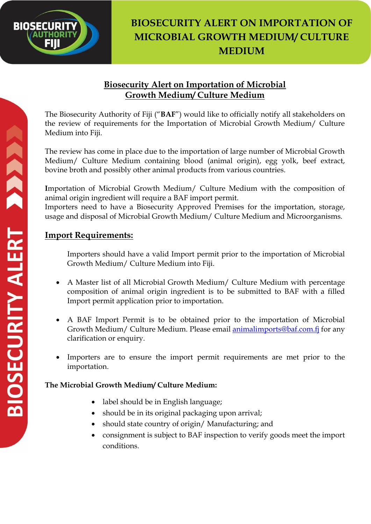

# **BIOSECURITY ALERT ON IMPORTATION OF MICROBIAL GROWTH MEDIUM/ CULTURE MEDIUM**

# **Biosecurity Alert on Importation of Microbial Growth Medium/ Culture Medium**

The Biosecurity Authority of Fiji ("**BAF**") would like to officially notify all stakeholders on the review of requirements for the Importation of Microbial Growth Medium/ Culture Medium into Fiji.

The review has come in place due to the importation of large number of Microbial Growth Medium/ Culture Medium containing blood (animal origin), egg yolk, beef extract, bovine broth and possibly other animal products from various countries.

**I**mportation of Microbial Growth Medium/ Culture Medium with the composition of animal origin ingredient will require a BAF import permit.

Importers need to have a Biosecurity Approved Premises for the importation, storage, usage and disposal of Microbial Growth Medium/ Culture Medium and Microorganisms.

# **Import Requirements:**

Importers should have a valid Import permit prior to the importation of Microbial Growth Medium/ Culture Medium into Fiji.

- A Master list of all Microbial Growth Medium/ Culture Medium with percentage composition of animal origin ingredient is to be submitted to BAF with a filled Import permit application prior to importation.
- A BAF Import Permit is to be obtained prior to the importation of Microbial Growth Medium/ Culture Medium. Please email **animalimports@baf.com.fj** for any clarification or enquiry.
- Importers are to ensure the import permit requirements are met prior to the importation.

### **The Microbial Growth Medium/ Culture Medium:**

- label should be in English language;
- should be in its original packaging upon arrival;
- should state country of origin/ Manufacturing; and
- consignment is subject to BAF inspection to verify goods meet the import conditions.